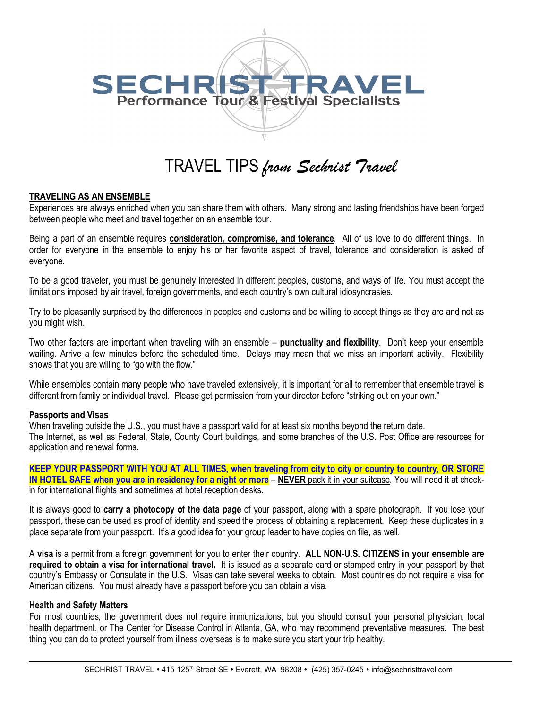

# TRAVEL TIPS *from Sechrist Travel*

## **TRAVELING AS AN ENSEMBLE**

Experiences are always enriched when you can share them with others. Many strong and lasting friendships have been forged between people who meet and travel together on an ensemble tour.

Being a part of an ensemble requires **consideration, compromise, and tolerance**. All of us love to do different things. In order for everyone in the ensemble to enjoy his or her favorite aspect of travel, tolerance and consideration is asked of everyone.

To be a good traveler, you must be genuinely interested in different peoples, customs, and ways of life. You must accept the limitations imposed by air travel, foreign governments, and each country's own cultural idiosyncrasies.

Try to be pleasantly surprised by the differences in peoples and customs and be willing to accept things as they are and not as you might wish.

Two other factors are important when traveling with an ensemble – **punctuality and flexibility**. Don't keep your ensemble waiting. Arrive a few minutes before the scheduled time. Delays may mean that we miss an important activity. Flexibility shows that you are willing to "go with the flow."

While ensembles contain many people who have traveled extensively, it is important for all to remember that ensemble travel is different from family or individual travel. Please get permission from your director before "striking out on your own."

#### **Passports and Visas**

When traveling outside the U.S., you must have a passport valid for at least six months beyond the return date. The Internet, as well as Federal, State, County Court buildings, and some branches of the U.S. Post Office are resources for application and renewal forms.

**KEEP YOUR PASSPORT WITH YOU AT ALL TIMES, when traveling from city to city or country to country, OR STORE IN HOTEL SAFE when you are in residency for a night or more** – **NEVER** pack it in your suitcase. You will need it at checkin for international flights and sometimes at hotel reception desks.

It is always good to **carry a photocopy of the data page** of your passport, along with a spare photograph. If you lose your passport, these can be used as proof of identity and speed the process of obtaining a replacement. Keep these duplicates in a place separate from your passport. It's a good idea for your group leader to have copies on file, as well.

A **visa** is a permit from a foreign government for you to enter their country. **ALL NON-U.S. CITIZENS in your ensemble are required to obtain a visa for international travel.** It is issued as a separate card or stamped entry in your passport by that country's Embassy or Consulate in the U.S. Visas can take several weeks to obtain. Most countries do not require a visa for American citizens. You must already have a passport before you can obtain a visa.

## **Health and Safety Matters**

For most countries, the government does not require immunizations, but you should consult your personal physician, local health department, or The Center for Disease Control in Atlanta, GA, who may recommend preventative measures. The best thing you can do to protect yourself from illness overseas is to make sure you start your trip healthy.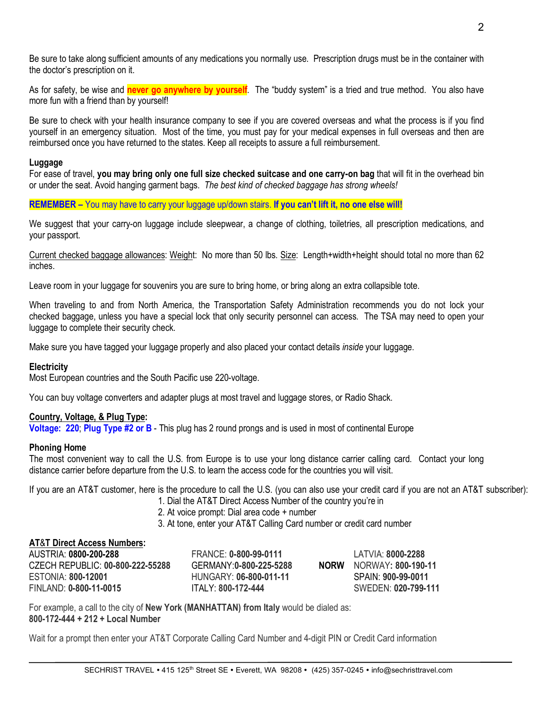Be sure to take along sufficient amounts of any medications you normally use. Prescription drugs must be in the container with the doctor's prescription on it.

As for safety, be wise and **never go anywhere by yourself**. The "buddy system" is a tried and true method. You also have more fun with a friend than by yourself!

Be sure to check with your health insurance company to see if you are covered overseas and what the process is if you find yourself in an emergency situation. Most of the time, you must pay for your medical expenses in full overseas and then are reimbursed once you have returned to the states. Keep all receipts to assure a full reimbursement.

#### **Luggage**

For ease of travel, **you may bring only one full size checked suitcase and one carry-on bag** that will fit in the overhead bin or under the seat. Avoid hanging garment bags. *The best kind of checked baggage has strong wheels!*

#### **REMEMBER –** You may have to carry your luggage up/down stairs. **If you can't lift it, no one else will!**

We suggest that your carry-on luggage include sleepwear, a change of clothing, toiletries, all prescription medications, and your passport.

Current checked baggage allowances: Weight: No more than 50 lbs. Size: Length+width+height should total no more than 62 inches.

Leave room in your luggage for souvenirs you are sure to bring home, or bring along an extra collapsible tote.

When traveling to and from North America, the Transportation Safety Administration recommends you do not lock your checked baggage, unless you have a special lock that only security personnel can access. The TSA may need to open your luggage to complete their security check.

Make sure you have tagged your luggage properly and also placed your contact details *inside* your luggage.

## **Electricity**

Most European countries and the South Pacific use 220-voltage.

You can buy voltage converters and adapter plugs at most travel and luggage stores, or Radio Shack.

## **Country, Voltage, & Plug Type:**

**Voltage: 220**; **Plug Type #2 or B** - This plug has 2 round prongs and is used in most of continental Europe

#### **Phoning Home**

The most convenient way to call the U.S. from Europe is to use your long distance carrier calling card. Contact your long distance carrier before departure from the U.S. to learn the access code for the countries you will visit.

If you are an AT&T customer, here is the procedure to call the U.S. (you can also use your credit card if you are not an AT&T subscriber):

- 1. Dial the AT&T Direct Access Number of the country you're in
- 2. At voice prompt: Dial area code + number
- 3. At tone, enter your AT&T Calling Card number or credit card number

## **AT**&**T Direct Access Numbers:**

| AUSTRIA: 0800-200-288            | FRANCE: 0-800-99-0111   |             | $IATVIA.$ 8000-2288 |
|----------------------------------|-------------------------|-------------|---------------------|
| CZECH REPUBLIC: 00-800-222-55288 | GERMANY: 0-800-225-5288 | <b>NORW</b> | NORWAY: 800-190-11  |
| ESTONIA: 800-12001               | HUNGARY: 06-800-011-11  |             | SPAIN: 900-99-0011  |
| FINLAND: 0-800-11-0015           | ITAI Y 800-172-444      |             | SWEDEN: 020-799-111 |

For example, a call to the city of **New York (MANHATTAN) from Italy** would be dialed as: **800-172-444 + 212 + Local Number**

Wait for a prompt then enter your AT&T Corporate Calling Card Number and 4-digit PIN or Credit Card information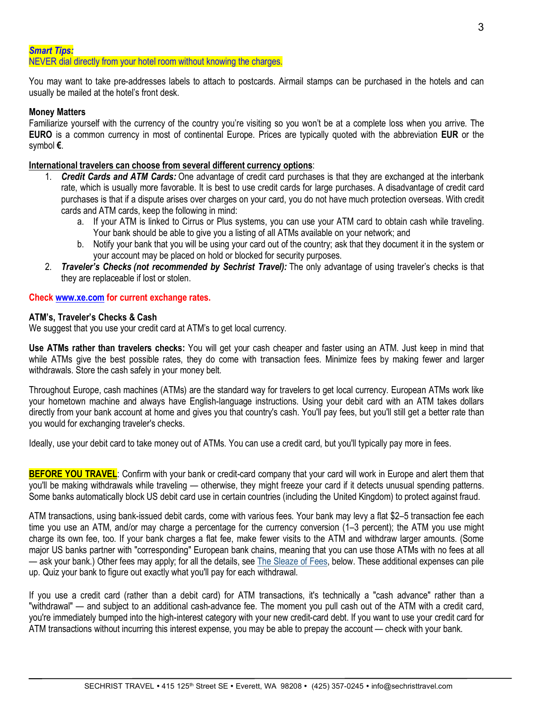## *Smart Tips:* NEVER dial directly from your hotel room without knowing the charges.

You may want to take pre-addresses labels to attach to postcards. Airmail stamps can be purchased in the hotels and can usually be mailed at the hotel's front desk.

# **Money Matters**

Familiarize yourself with the currency of the country you're visiting so you won't be at a complete loss when you arrive. The **EURO** is a common currency in most of continental Europe. Prices are typically quoted with the abbreviation **EUR** or the symbol **€**.

# **International travelers can choose from several different currency options**:

- 1. *Credit Cards and ATM Cards:* One advantage of credit card purchases is that they are exchanged at the interbank rate, which is usually more favorable. It is best to use credit cards for large purchases. A disadvantage of credit card purchases is that if a dispute arises over charges on your card, you do not have much protection overseas. With credit cards and ATM cards, keep the following in mind:
	- a. If your ATM is linked to Cirrus or Plus systems, you can use your ATM card to obtain cash while traveling. Your bank should be able to give you a listing of all ATMs available on your network; and
	- b. Notify your bank that you will be using your card out of the country; ask that they document it in the system or your account may be placed on hold or blocked for security purposes.
- 2. *Traveler's Checks (not recommended by Sechrist Travel):* The only advantage of using traveler's checks is that they are replaceable if lost or stolen.

## **Check www.xe.com for current exchange rates.**

## **ATM's, Traveler's Checks & Cash**

We suggest that you use your credit card at ATM's to get local currency.

**Use ATMs rather than travelers checks:** You will get your cash cheaper and faster using an ATM. Just keep in mind that while ATMs give the best possible rates, they do come with transaction fees. Minimize fees by making fewer and larger withdrawals. Store the cash safely in your money belt.

Throughout Europe, cash machines (ATMs) are the standard way for travelers to get local currency. European ATMs work like your hometown machine and always have English-language instructions. Using your debit card with an ATM takes dollars directly from your bank account at home and gives you that country's cash. You'll pay fees, but you'll still get a better rate than you would for exchanging traveler's checks.

Ideally, use your debit card to take money out of ATMs. You can use a credit card, but you'll typically pay more in fees.

**BEFORE YOU TRAVEL:** Confirm with your bank or credit-card company that your card will work in Europe and alert them that you'll be making withdrawals while traveling — otherwise, they might freeze your card if it detects unusual spending patterns. Some banks automatically block US debit card use in certain countries (including the United Kingdom) to protect against fraud.

ATM transactions, using bank-issued debit cards, come with various fees. Your bank may levy a flat \$2–5 transaction fee each time you use an ATM, and/or may charge a percentage for the currency conversion (1–3 percent); the ATM you use might charge its own fee, too. If your bank charges a flat fee, make fewer visits to the ATM and withdraw larger amounts. (Some major US banks partner with "corresponding" European bank chains, meaning that you can use those ATMs with no fees at all — ask your bank.) Other fees may apply; for all the details, see The Sleaze of Fees, below. These additional expenses can pile up. Quiz your bank to figure out exactly what you'll pay for each withdrawal.

If you use a credit card (rather than a debit card) for ATM transactions, it's technically a "cash advance" rather than a "withdrawal" — and subject to an additional cash-advance fee. The moment you pull cash out of the ATM with a credit card, you're immediately bumped into the high-interest category with your new credit-card debt. If you want to use your credit card for ATM transactions without incurring this interest expense, you may be able to prepay the account — check with your bank.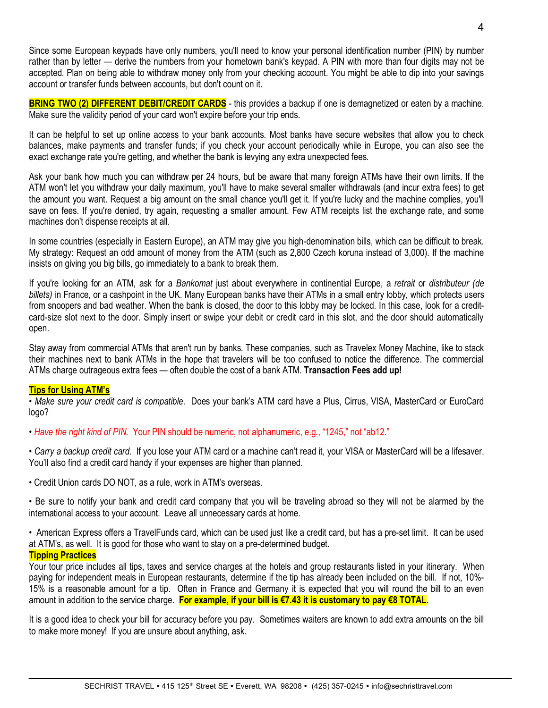Since some European keypads have only numbers, you'll need to know your personal identification number (PIN) by number rather than by letter — derive the numbers from your hometown bank's keypad. A PIN with more than four digits may not be accepted. Plan on being able to withdraw money only from your checking account. You might be able to dip into your savings account or transfer funds between accounts, but don't count on it.

**BRING TWO (2) DIFFERENT DEBIT/CREDIT CARDS** - this provides a backup if one is demagnetized or eaten by a machine. Make sure the validity period of your card won't expire before your trip ends.

It can be helpful to set up online access to your bank accounts. Most banks have secure websites that allow you to check balances, make payments and transfer funds; if you check your account periodically while in Europe, you can also see the exact exchange rate you're getting, and whether the bank is levying any extra unexpected fees.

Ask your bank how much you can withdraw per 24 hours, but be aware that many foreign ATMs have their own limits. If the ATM won't let you withdraw your daily maximum, you'll have to make several smaller withdrawals (and incur extra fees) to get the amount you want. Request a big amount on the small chance you'll get it. If you're lucky and the machine complies, you'll save on fees. If you're denied, try again, requesting a smaller amount. Few ATM receipts list the exchange rate, and some machines don't dispense receipts at all.

In some countries (especially in Eastern Europe), an ATM may give you high-denomination bills, which can be difficult to break. My strategy: Request an odd amount of money from the ATM (such as 2,800 Czech koruna instead of 3,000). If the machine insists on giving you big bills, go immediately to a bank to break them.

If you're looking for an ATM, ask for a *Bankomat* just about everywhere in continential Europe, a *retrait* or *distributeur (de billets)* in France, or a cashpoint in the UK. Many European banks have their ATMs in a small entry lobby, which protects users from snoopers and bad weather. When the bank is closed, the door to this lobby may be locked. In this case, look for a creditcard-size slot next to the door. Simply insert or swipe your debit or credit card in this slot, and the door should automatically open.

Stay away from commercial ATMs that aren't run by banks. These companies, such as Travelex Money Machine, like to stack their machines next to bank ATMs in the hope that travelers will be too confused to notice the difference. The commercial ATMs charge outrageous extra fees — often double the cost of a bank ATM. **Transaction Fees add up!**

## **Tips for Using ATM's**

• *Make sure your credit card is compatible*. Does your bank's ATM card have a Plus, Cirrus, VISA, MasterCard or EuroCard logo?

• *Have the right kind of PIN*. Your PIN should be numeric, not alphanumeric, e.g., "1245," not "ab12."

• *Carry a backup credit card*. If you lose your ATM card or a machine can't read it, your VISA or MasterCard will be a lifesaver. You'll also find a credit card handy if your expenses are higher than planned.

• Credit Union cards DO NOT, as a rule, work in ATM's overseas.

• Be sure to notify your bank and credit card company that you will be traveling abroad so they will not be alarmed by the international access to your account. Leave all unnecessary cards at home.

• American Express offers a TravelFunds card, which can be used just like a credit card, but has a pre-set limit. It can be used at ATM's, as well. It is good for those who want to stay on a pre-determined budget.

## **Tipping Practices**

Your tour price includes all tips, taxes and service charges at the hotels and group restaurants listed in your itinerary. When paying for independent meals in European restaurants, determine if the tip has already been included on the bill. If not, 10%- 15% is a reasonable amount for a tip. Often in France and Germany it is expected that you will round the bill to an even amount in addition to the service charge. **For example, if your bill is €7.43 it is customary to pay €8 TOTAL**.

It is a good idea to check your bill for accuracy before you pay. Sometimes waiters are known to add extra amounts on the bill to make more money! If you are unsure about anything, ask.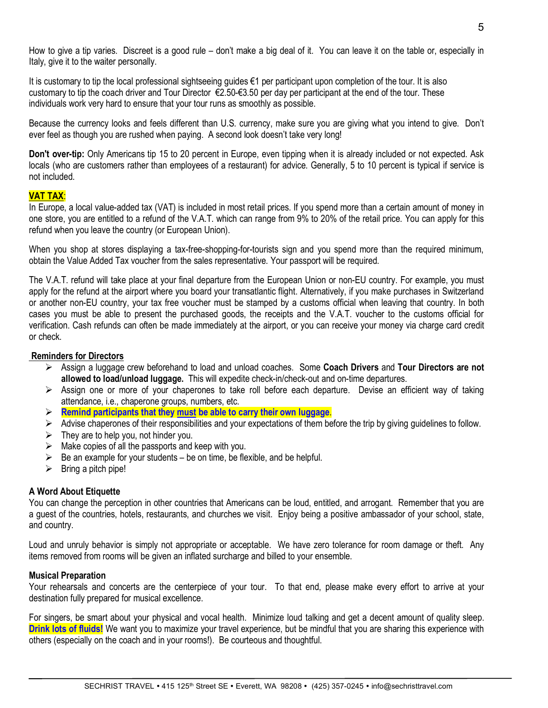How to give a tip varies. Discreet is a good rule – don't make a big deal of it. You can leave it on the table or, especially in Italy, give it to the waiter personally.

It is customary to tip the local professional sightseeing guides €1 per participant upon completion of the tour. It is also customary to tip the coach driver and Tour Director €2.50-€3.50 per day per participant at the end of the tour. These individuals work very hard to ensure that your tour runs as smoothly as possible.

Because the currency looks and feels different than U.S. currency, make sure you are giving what you intend to give. Don't ever feel as though you are rushed when paying. A second look doesn't take very long!

**Don't over-tip:** Only Americans tip 15 to 20 percent in Europe, even tipping when it is already included or not expected. Ask locals (who are customers rather than employees of a restaurant) for advice. Generally, 5 to 10 percent is typical if service is not included.

## **VAT TAX**:

In Europe, a local value-added tax (VAT) is included in most retail prices. If you spend more than a certain amount of money in one store, you are entitled to a refund of the V.A.T. which can range from 9% to 20% of the retail price. You can apply for this refund when you leave the country (or European Union).

When you shop at stores displaying a tax-free-shopping-for-tourists sign and you spend more than the required minimum, obtain the Value Added Tax voucher from the sales representative. Your passport will be required.

The V.A.T. refund will take place at your final departure from the European Union or non-EU country. For example, you must apply for the refund at the airport where you board your transatlantic flight. Alternatively, if you make purchases in Switzerland or another non-EU country, your tax free voucher must be stamped by a customs official when leaving that country. In both cases you must be able to present the purchased goods, the receipts and the V.A.T. voucher to the customs official for verification. Cash refunds can often be made immediately at the airport, or you can receive your money via charge card credit or check.

#### **Reminders for Directors**

- Ø Assign a luggage crew beforehand to load and unload coaches. Some **Coach Drivers** and **Tour Directors are not allowed to load/unload luggage.** This will expedite check-in/check-out and on-time departures.
- $\triangleright$  Assign one or more of your chaperones to take roll before each departure. Devise an efficient way of taking attendance, i.e., chaperone groups, numbers, etc.
- Ø **Remind participants that they must be able to carry their own luggage**.
- $\triangleright$  Advise chaperones of their responsibilities and your expectations of them before the trip by giving guidelines to follow.
- $\triangleright$  They are to help you, not hinder you.
- $\triangleright$  Make copies of all the passports and keep with you.
- $\triangleright$  Be an example for your students be on time, be flexible, and be helpful.
- $\triangleright$  Bring a pitch pipe!

## **A Word About Etiquette**

You can change the perception in other countries that Americans can be loud, entitled, and arrogant. Remember that you are a guest of the countries, hotels, restaurants, and churches we visit. Enjoy being a positive ambassador of your school, state, and country.

Loud and unruly behavior is simply not appropriate or acceptable. We have zero tolerance for room damage or theft. Any items removed from rooms will be given an inflated surcharge and billed to your ensemble.

## **Musical Preparation**

Your rehearsals and concerts are the centerpiece of your tour. To that end, please make every effort to arrive at your destination fully prepared for musical excellence.

For singers, be smart about your physical and vocal health. Minimize loud talking and get a decent amount of quality sleep. **Drink lots of fluids!** We want you to maximize your travel experience, but be mindful that you are sharing this experience with others (especially on the coach and in your rooms!). Be courteous and thoughtful.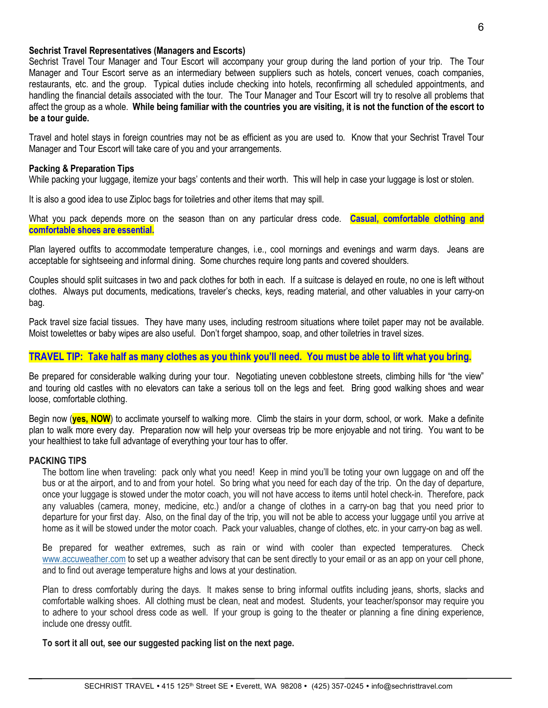#### **Sechrist Travel Representatives (Managers and Escorts)**

Sechrist Travel Tour Manager and Tour Escort will accompany your group during the land portion of your trip. The Tour Manager and Tour Escort serve as an intermediary between suppliers such as hotels, concert venues, coach companies, restaurants, etc. and the group. Typical duties include checking into hotels, reconfirming all scheduled appointments, and handling the financial details associated with the tour. The Tour Manager and Tour Escort will try to resolve all problems that affect the group as a whole. **While being familiar with the countries you are visiting, it is not the function of the escort to be a tour guide.**

Travel and hotel stays in foreign countries may not be as efficient as you are used to. Know that your Sechrist Travel Tour Manager and Tour Escort will take care of you and your arrangements.

#### **Packing & Preparation Tips**

While packing your luggage, itemize your bags' contents and their worth. This will help in case your luggage is lost or stolen.

It is also a good idea to use Ziploc bags for toiletries and other items that may spill.

What you pack depends more on the season than on any particular dress code. **Casual, comfortable clothing and comfortable shoes are essential.**

Plan layered outfits to accommodate temperature changes, i.e., cool mornings and evenings and warm days. Jeans are acceptable for sightseeing and informal dining. Some churches require long pants and covered shoulders.

Couples should split suitcases in two and pack clothes for both in each. If a suitcase is delayed en route, no one is left without clothes. Always put documents, medications, traveler's checks, keys, reading material, and other valuables in your carry-on bag.

Pack travel size facial tissues. They have many uses, including restroom situations where toilet paper may not be available. Moist towelettes or baby wipes are also useful. Don't forget shampoo, soap, and other toiletries in travel sizes.

## **TRAVEL TIP: Take half as many clothes as you think you'll need. You must be able to lift what you bring.**

Be prepared for considerable walking during your tour. Negotiating uneven cobblestone streets, climbing hills for "the view" and touring old castles with no elevators can take a serious toll on the legs and feet. Bring good walking shoes and wear loose, comfortable clothing.

Begin now (**yes, NOW**) to acclimate yourself to walking more. Climb the stairs in your dorm, school, or work. Make a definite plan to walk more every day. Preparation now will help your overseas trip be more enjoyable and not tiring. You want to be your healthiest to take full advantage of everything your tour has to offer.

#### **PACKING TIPS**

The bottom line when traveling: pack only what you need! Keep in mind you'll be toting your own luggage on and off the bus or at the airport, and to and from your hotel. So bring what you need for each day of the trip. On the day of departure, once your luggage is stowed under the motor coach, you will not have access to items until hotel check-in. Therefore, pack any valuables (camera, money, medicine, etc.) and/or a change of clothes in a carry-on bag that you need prior to departure for your first day. Also, on the final day of the trip, you will not be able to access your luggage until you arrive at home as it will be stowed under the motor coach. Pack your valuables, change of clothes, etc. in your carry-on bag as well.

Be prepared for weather extremes, such as rain or wind with cooler than expected temperatures. Check www.accuweather.com to set up a weather advisory that can be sent directly to your email or as an app on your cell phone, and to find out average temperature highs and lows at your destination.

Plan to dress comfortably during the days. It makes sense to bring informal outfits including jeans, shorts, slacks and comfortable walking shoes. All clothing must be clean, neat and modest. Students, your teacher/sponsor may require you to adhere to your school dress code as well. If your group is going to the theater or planning a fine dining experience, include one dressy outfit.

**To sort it all out, see our suggested packing list on the next page.**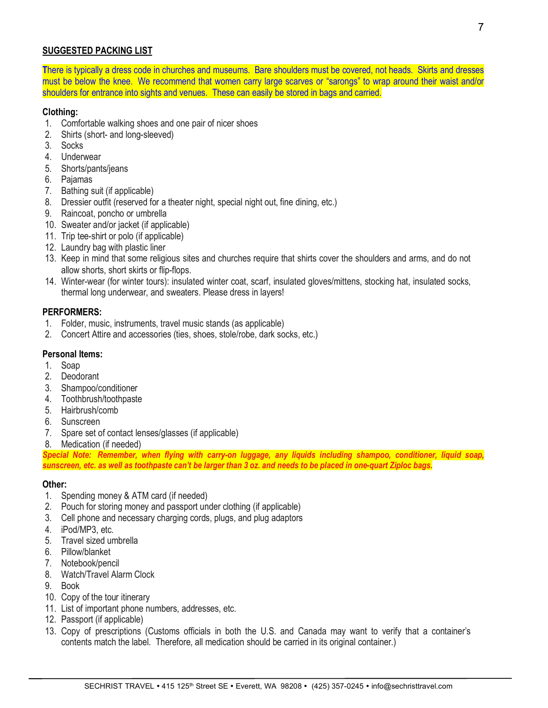# **SUGGESTED PACKING LIST**

**T**here is typically a dress code in churches and museums. Bare shoulders must be covered, not heads. Skirts and dresses must be below the knee. We recommend that women carry large scarves or "sarongs" to wrap around their waist and/or shoulders for entrance into sights and venues. These can easily be stored in bags and carried.

## **Clothing:**

- 1. Comfortable walking shoes and one pair of nicer shoes
- 2. Shirts (short- and long-sleeved)
- 3. Socks
- 4. Underwear
- 5. Shorts/pants/jeans
- 6. Pajamas
- 7. Bathing suit (if applicable)
- 8. Dressier outfit (reserved for a theater night, special night out, fine dining, etc.)
- 9. Raincoat, poncho or umbrella
- 10. Sweater and/or jacket (if applicable)
- 11. Trip tee-shirt or polo (if applicable)
- 12. Laundry bag with plastic liner
- 13. Keep in mind that some religious sites and churches require that shirts cover the shoulders and arms, and do not allow shorts, short skirts or flip-flops.
- 14. Winter-wear (for winter tours): insulated winter coat, scarf, insulated gloves/mittens, stocking hat, insulated socks, thermal long underwear, and sweaters. Please dress in layers!

## **PERFORMERS:**

- 1. Folder, music, instruments, travel music stands (as applicable)
- 2. Concert Attire and accessories (ties, shoes, stole/robe, dark socks, etc.)

#### **Personal Items:**

- 1. Soap
- 2. Deodorant
- 3. Shampoo/conditioner
- 4. Toothbrush/toothpaste
- 5. Hairbrush/comb
- 6. Sunscreen
- 7. Spare set of contact lenses/glasses (if applicable)
- 8. Medication (if needed)

*Special Note: Remember, when flying with carry-on luggage, any liquids including shampoo, conditioner, liquid soap, sunscreen, etc. as well as toothpaste can't be larger than 3 oz. and needs to be placed in one-quart Ziploc bags.*

#### **Other:**

- 1. Spending money & ATM card (if needed)
- 2. Pouch for storing money and passport under clothing (if applicable)
- 3. Cell phone and necessary charging cords, plugs, and plug adaptors
- 4. iPod/MP3, etc.
- 5. Travel sized umbrella
- 6. Pillow/blanket
- 7. Notebook/pencil
- 8. Watch/Travel Alarm Clock
- 9. Book
- 10. Copy of the tour itinerary
- 11. List of important phone numbers, addresses, etc.
- 12. Passport (if applicable)
- 13. Copy of prescriptions (Customs officials in both the U.S. and Canada may want to verify that a container's contents match the label. Therefore, all medication should be carried in its original container.)